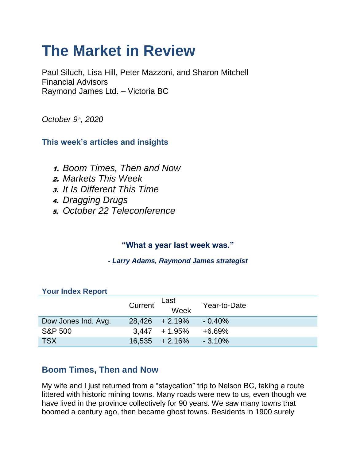# **The Market in Review**

Paul Siluch, Lisa Hill, Peter Mazzoni, and Sharon Mitchell Financial Advisors Raymond James Ltd. – Victoria BC

*October 9th, 2020*

#### **This week's articles and insights**

- 1. *Boom Times, Then and Now*
- 2. *Markets This Week*
- 3. *It Is Different This Time*
- 4. *Dragging Drugs*
- 5. *October 22 Teleconference*

## **"What a year last week was."**

*- Larry Adams, Raymond James strategist*

| <b>Your Index Report</b> |         |                   |              |
|--------------------------|---------|-------------------|--------------|
|                          | Current | Last<br>Week      | Year-to-Date |
| Dow Jones Ind. Avg.      |         | $28,426 + 2.19\%$ | $-0.40%$     |
| <b>S&amp;P 500</b>       |         | $3,447 + 1.95\%$  | $+6.69%$     |
| <b>TSX</b>               |         | $16,535 + 2.16\%$ | $-3.10\%$    |

#### **Your Index Report**

## **Boom Times, Then and Now**

My wife and I just returned from a "staycation" trip to Nelson BC, taking a route littered with historic mining towns. Many roads were new to us, even though we have lived in the province collectively for 90 years. We saw many towns that boomed a century ago, then became ghost towns. Residents in 1900 surely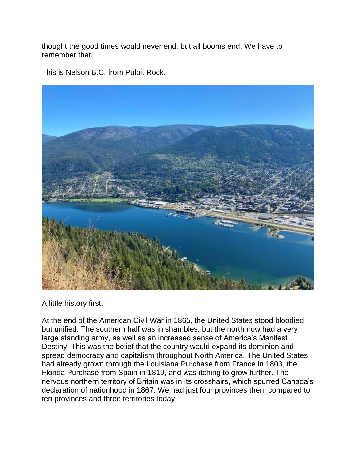thought the good times would never end, but all booms end. We have to remember that.

This is Nelson B.C. from Pulpit Rock.



A little history first.

At the end of the American Civil War in 1865, the United States stood bloodied but unified. The southern half was in shambles, but the north now had a very large standing army, as well as an increased sense of America's Manifest Destiny. This was the belief that the country would expand its dominion and spread democracy and capitalism throughout North America. The United States had already grown through the Louisiana Purchase from France in 1803, the Florida Purchase from Spain in 1819, and was itching to grow further. The nervous northern territory of Britain was in its crosshairs, which spurred Canada's declaration of nationhood in 1867. We had just four provinces then, compared to ten provinces and three territories today.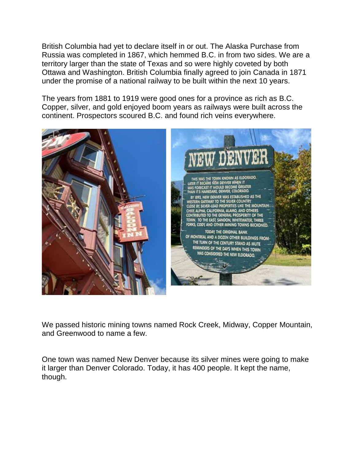British Columbia had yet to declare itself in or out. The Alaska Purchase from Russia was completed in 1867, which hemmed B.C. in from two sides. We are a territory larger than the state of Texas and so were highly coveted by both Ottawa and Washington. British Columbia finally agreed to join Canada in 1871 under the promise of a national railway to be built within the next 10 years.

The years from 1881 to 1919 were good ones for a province as rich as B.C. Copper, silver, and gold enjoyed boom years as railways were built across the continent. Prospectors scoured B.C. and found rich veins everywhere.



We passed historic mining towns named Rock Creek, Midway, Copper Mountain, and Greenwood to name a few.

One town was named New Denver because its silver mines were going to make it larger than Denver Colorado. Today, it has 400 people. It kept the name, though.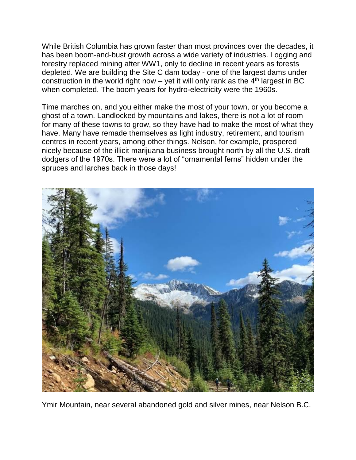While British Columbia has grown faster than most provinces over the decades, it has been boom-and-bust growth across a wide variety of industries. Logging and forestry replaced mining after WW1, only to decline in recent years as forests depleted. We are building the Site C dam today - one of the largest dams under construction in the world right now – yet it will only rank as the  $4<sup>th</sup>$  largest in BC when completed. The boom years for hydro-electricity were the 1960s.

Time marches on, and you either make the most of your town, or you become a ghost of a town. Landlocked by mountains and lakes, there is not a lot of room for many of these towns to grow, so they have had to make the most of what they have. Many have remade themselves as light industry, retirement, and tourism centres in recent years, among other things. Nelson, for example, prospered nicely because of the illicit marijuana business brought north by all the U.S. draft dodgers of the 1970s. There were a lot of "ornamental ferns" hidden under the spruces and larches back in those days!



Ymir Mountain, near several abandoned gold and silver mines, near Nelson B.C.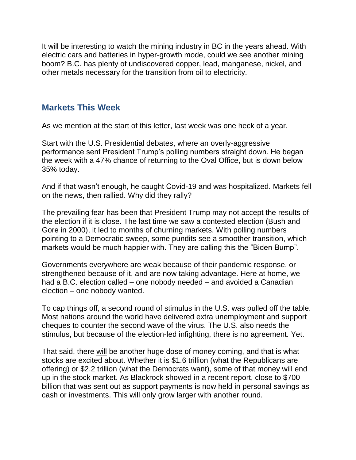It will be interesting to watch the mining industry in BC in the years ahead. With electric cars and batteries in hyper-growth mode, could we see another mining boom? B.C. has plenty of undiscovered copper, lead, manganese, nickel, and other metals necessary for the transition from oil to electricity.

#### **Markets This Week**

As we mention at the start of this letter, last week was one heck of a year.

Start with the U.S. Presidential debates, where an overly-aggressive performance sent President Trump's polling numbers straight down. He began the week with a 47% chance of returning to the Oval Office, but is down below 35% today.

And if that wasn't enough, he caught Covid-19 and was hospitalized. Markets fell on the news, then rallied. Why did they rally?

The prevailing fear has been that President Trump may not accept the results of the election if it is close. The last time we saw a contested election (Bush and Gore in 2000), it led to months of churning markets. With polling numbers pointing to a Democratic sweep, some pundits see a smoother transition, which markets would be much happier with. They are calling this the "Biden Bump".

Governments everywhere are weak because of their pandemic response, or strengthened because of it, and are now taking advantage. Here at home, we had a B.C. election called – one nobody needed – and avoided a Canadian election – one nobody wanted.

To cap things off, a second round of stimulus in the U.S. was pulled off the table. Most nations around the world have delivered extra unemployment and support cheques to counter the second wave of the virus. The U.S. also needs the stimulus, but because of the election-led infighting, there is no agreement. Yet.

That said, there will be another huge dose of money coming, and that is what stocks are excited about. Whether it is \$1.6 trillion (what the Republicans are offering) or \$2.2 trillion (what the Democrats want), some of that money will end up in the stock market. As Blackrock showed in a recent report, close to \$700 billion that was sent out as support payments is now held in personal savings as cash or investments. This will only grow larger with another round.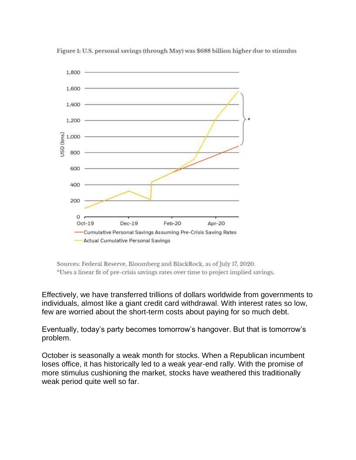

Figure 1: U.S. personal savings (through May) was \$688 billion higher due to stimulus

Sources: Federal Reserve, Bloomberg and BlackRock, as of July 17, 2020. \*Uses a linear fit of pre-crisis savings rates over time to project implied savings.

Effectively, we have transferred trillions of dollars worldwide from governments to individuals, almost like a giant credit card withdrawal. With interest rates so low, few are worried about the short-term costs about paying for so much debt.

Eventually, today's party becomes tomorrow's hangover. But that is tomorrow's problem.

October is seasonally a weak month for stocks. When a Republican incumbent loses office, it has historically led to a weak year-end rally. With the promise of more stimulus cushioning the market, stocks have weathered this traditionally weak period quite well so far.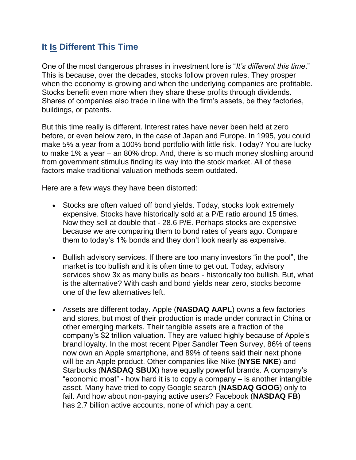#### **It Is Different This Time**

One of the most dangerous phrases in investment lore is "*It's different this time*." This is because, over the decades, stocks follow proven rules. They prosper when the economy is growing and when the underlying companies are profitable. Stocks benefit even more when they share these profits through dividends. Shares of companies also trade in line with the firm's assets, be they factories, buildings, or patents.

But this time really is different. Interest rates have never been held at zero before, or even below zero, in the case of Japan and Europe. In 1995, you could make 5% a year from a 100% bond portfolio with little risk. Today? You are lucky to make 1% a year – an 80% drop. And, there is so much money sloshing around from government stimulus finding its way into the stock market. All of these factors make traditional valuation methods seem outdated.

Here are a few ways they have been distorted:

- Stocks are often valued off bond yields. Today, stocks look extremely expensive. Stocks have historically sold at a P/E ratio around 15 times. Now they sell at double that - 28.6 P/E. Perhaps stocks are expensive because we are comparing them to bond rates of years ago. Compare them to today's 1% bonds and they don't look nearly as expensive.
- Bullish advisory services. If there are too many investors "in the pool", the market is too bullish and it is often time to get out. Today, advisory services show 3x as many bulls as bears - historically too bullish. But, what is the alternative? With cash and bond yields near zero, stocks become one of the few alternatives left.
- Assets are different today. Apple (**NASDAQ AAPL**) owns a few factories and stores, but most of their production is made under contract in China or other emerging markets. Their tangible assets are a fraction of the company's \$2 trillion valuation. They are valued highly because of Apple's brand loyalty. In the most recent Piper Sandler Teen Survey, 86% of teens now own an Apple smartphone, and 89% of teens said their next phone will be an Apple product. Other companies like Nike (**NYSE NKE**) and Starbucks (**NASDAQ SBUX**) have equally powerful brands. A company's "economic moat" - how hard it is to copy a company – is another intangible asset. Many have tried to copy Google search (**NASDAQ GOOG**) only to fail. And how about non-paying active users? Facebook (**NASDAQ FB**) has 2.7 billion active accounts, none of which pay a cent.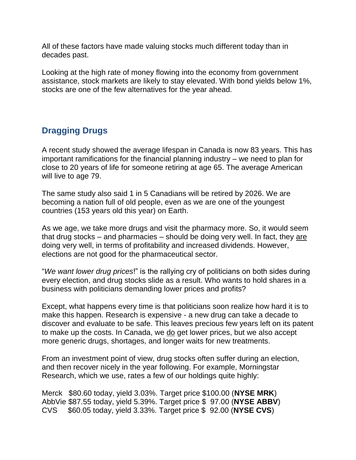All of these factors have made valuing stocks much different today than in decades past.

Looking at the high rate of money flowing into the economy from government assistance, stock markets are likely to stay elevated. With bond yields below 1%, stocks are one of the few alternatives for the year ahead.

## **Dragging Drugs**

A recent study showed the average lifespan in Canada is now 83 years. This has important ramifications for the financial planning industry – we need to plan for close to 20 years of life for someone retiring at age 65. The average American will live to age 79.

The same study also said 1 in 5 Canadians will be retired by 2026. We are becoming a nation full of old people, even as we are one of the youngest countries (153 years old this year) on Earth.

As we age, we take more drugs and visit the pharmacy more. So, it would seem that drug stocks – and pharmacies – should be doing very well. In fact, they are doing very well, in terms of profitability and increased dividends. However, elections are not good for the pharmaceutical sector.

"*We want lower drug prices*!" is the rallying cry of politicians on both sides during every election, and drug stocks slide as a result. Who wants to hold shares in a business with politicians demanding lower prices and profits?

Except, what happens every time is that politicians soon realize how hard it is to make this happen. Research is expensive - a new drug can take a decade to discover and evaluate to be safe. This leaves precious few years left on its patent to make up the costs. In Canada, we do get lower prices, but we also accept more generic drugs, shortages, and longer waits for new treatments.

From an investment point of view, drug stocks often suffer during an election, and then recover nicely in the year following. For example, Morningstar Research, which we use, rates a few of our holdings quite highly:

Merck \$80.60 today, yield 3.03%. Target price \$100.00 (**NYSE MRK**) AbbVie \$87.55 today, yield 5.39%. Target price \$ 97.00 (**NYSE ABBV**) CVS \$60.05 today, yield 3.33%. Target price \$ 92.00 (**NYSE CVS**)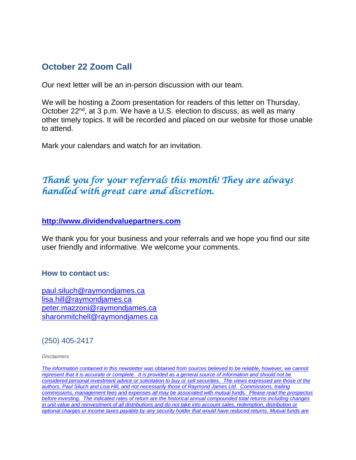#### **October 22 Zoom Call**

Our next letter will be an in-person discussion with our team.

We will be hosting a Zoom presentation for readers of this letter on Thursday, October 22<sup>nd</sup>, at 3 p.m. We have a U.S. election to discuss, as well as many other timely topics. It will be recorded and placed on our website for those unable to attend.

Mark your calendars and watch for an invitation.

# *Thank you for your referrals this month! They are always handled with great care and discretion.*

#### **[http://www.dividendvaluepartners.com](https://eur04.safelinks.protection.outlook.com/?url=https%3A%2F%2Furldefense.proofpoint.com%2Fv2%2Furl%3Fu%3Dhttps-3A__nam11.safelinks.protection.outlook.com_-3Furl-3Dhttps-253A-252F-252Furldefense.proofpoint.com-252Fv2-252Furl-253Fu-253Dhttp-2D3A-5F-5Fwww.dividendvaluepartners.com-2526d-253DDwMFAw-2526c-253DK3dQCUGiI1B95NJ6cl3GoyhMW2dvBOfimZA-2D83UXll0-2526r-253D-5F6MBBSGYsFznIBwslhTiqBKEz4pHUCTd-5F9tbh-5FEpUMY-2526m-253DscBAtuMDuWZwK1IVr5YXjdB6aRS-2DfaGHAMq3jOn6sJU-2526s-253DenZqe4ZgcjH-5F33x5dT-2DvZq9A37d4AhNkXvjc6AbmYww-2526e-253D-26data-3D02-257C01-257C-257Cc172461ecbee4482512908d85e8192cf-257C84df9e7fe9f640afb435aaaaaaaaaaaa-257C1-257C0-257C637363258183615686-26sdata-3DewMvepveEmLgP7SL0jTlvLtATqW9IhbJ2C3UL0Em04c-253D-26reserved-3D0%26d%3DDwMF-g%26c%3DK3dQCUGiI1B95NJ6cl3GoyhMW2dvBOfimZA-83UXll0%26r%3D_6MBBSGYsFznIBwslhTiqBKEz4pHUCTd_9tbh_EpUMY%26m%3D7qOaEnVxLdGuCP74qXGTNk9xkBSFm8R3CYYmRfTv9PQ%26s%3DW8OEBAbaLee5suYwpNsPIikduscCx0SIuOWzAWRhAvc%26e%3D&data=02%7C01%7C%7C8a16eb9ab3cc4e585bab08d86b14e24b%7C84df9e7fe9f640afb435aaaaaaaaaaaa%7C1%7C0%7C637377085227534400&sdata=zzJlT4ayZo7AuSbfVFBCALNa%2FJqw6uhZi8Xlc7hQZtE%3D&reserved=0)**

We thank you for your business and your referrals and we hope you find our site user friendly and informative. We welcome your comments.

#### **How to contact us:**

[paul.siluch@raymondjames.ca](https://eur04.safelinks.protection.outlook.com/?url=https%3A%2F%2Furldefense.proofpoint.com%2Fv2%2Furl%3Fu%3Dhttps-3A__nam11.safelinks.protection.outlook.com_-3Furl-3Dhttps-253A-252F-252Fowa-2Dkel.raymondjames.ca-252Fowa-252Fredir.aspx-253FSURL-253Dz0BxOCXDlQ-2DAad1f-5Fa9igaARxm5Rd1VXE7UcmD4mZ3IZiacj7DPTCG0AYQBpAGwAdABvADoAcABhAHUAbAAuAHMAaQBsAHUAYwBoAEAAcgBhAHkAbQBvAG4AZABqAGEAbQBlAHMALgBjAGEA-2526URL-253Dmailto-25253apaul.siluch-252540raymondjames.ca-26data-3D02-257C01-257C-257Cc172461ecbee4482512908d85e8192cf-257C84df9e7fe9f640afb435aaaaaaaaaaaa-257C1-257C0-257C637363258183625679-26sdata-3DHJ7PtuamH3ey-252Bis0LQS7WLUtHpHoAnxnHrYxprmWKn4-253D-26reserved-3D0%26d%3DDwMF-g%26c%3DK3dQCUGiI1B95NJ6cl3GoyhMW2dvBOfimZA-83UXll0%26r%3D_6MBBSGYsFznIBwslhTiqBKEz4pHUCTd_9tbh_EpUMY%26m%3D7qOaEnVxLdGuCP74qXGTNk9xkBSFm8R3CYYmRfTv9PQ%26s%3DTKyIHrHn9jy3BGThbM3t6qa96Jt8NZSlnsJ21h5JIRM%26e%3D&data=02%7C01%7C%7C8a16eb9ab3cc4e585bab08d86b14e24b%7C84df9e7fe9f640afb435aaaaaaaaaaaa%7C1%7C0%7C637377085227544398&sdata=JNWyFZFoob4Jy6fPXmZiln9HSChMixeL83naEfwOpMM%3D&reserved=0) [lisa.hill@raymondjames.ca](https://eur04.safelinks.protection.outlook.com/?url=https%3A%2F%2Furldefense.proofpoint.com%2Fv2%2Furl%3Fu%3Dhttps-3A__nam11.safelinks.protection.outlook.com_-3Furl-3Dhttps-253A-252F-252Fowa-2Dkel.raymondjames.ca-252Fowa-252Fredir.aspx-253FSURL-253DglaBgdTdxPMFpiw4eumg-2DPzZXpo9vJyObrXLs1TKtIAZiacj7DPTCG0AYQBpAGwAdABvADoAbABpAHMAYQAuAGgAaQBsAGwAQAByAGEAeQBtAG8AbgBkAGoAYQBtAGUAcwAuAGMAYQA.-2526URL-253Dmailto-25253alisa.hill-252540raymondjames.ca-26data-3D02-257C01-257C-257Cc172461ecbee4482512908d85e8192cf-257C84df9e7fe9f640afb435aaaaaaaaaaaa-257C1-257C0-257C637363258183625679-26sdata-3DlqUdr0V-252Bbj4LaURrM2MSPIDvGfk5bLYx0U1BkRoTrH4-253D-26reserved-3D0%26d%3DDwMF-g%26c%3DK3dQCUGiI1B95NJ6cl3GoyhMW2dvBOfimZA-83UXll0%26r%3D_6MBBSGYsFznIBwslhTiqBKEz4pHUCTd_9tbh_EpUMY%26m%3D7qOaEnVxLdGuCP74qXGTNk9xkBSFm8R3CYYmRfTv9PQ%26s%3Dc8alCSC-b4YnoP6-1kuPw_KdDfdlIvu8oQ_wi3WtrQw%26e%3D&data=02%7C01%7C%7C8a16eb9ab3cc4e585bab08d86b14e24b%7C84df9e7fe9f640afb435aaaaaaaaaaaa%7C1%7C0%7C637377085227554394&sdata=JD%2BrCiopwCPkaqqVwSvi1mS1%2BcEvr2qDmRTjzzF4npk%3D&reserved=0) [peter.mazzoni@raymondjames.ca](https://eur04.safelinks.protection.outlook.com/?url=https%3A%2F%2Furldefense.proofpoint.com%2Fv2%2Furl%3Fu%3Dhttps-3A__nam11.safelinks.protection.outlook.com_-3Furl-3Dhttps-253A-252F-252Fowa-2Dkel.raymondjames.ca-252Fowa-252Fredir.aspx-253FSURL-253D3c7mDL9-2DcZxYXt7CvkOu20QVFy1WCaDQxUZ3BQE6vecZiacj7DPTCG0AYQBpAGwAdABvADoAcABlAHQAZQByAC4AbQBhAHoAegBvAG4AaQBAAHIAYQB5AG0AbwBuAGQAagBhAG0AZQBzAC4AYwBhAA..-2526URL-253Dmailto-25253apeter.mazzoni-252540raymondjames.ca-26data-3D02-257C01-257C-257Cc172461ecbee4482512908d85e8192cf-257C84df9e7fe9f640afb435aaaaaaaaaaaa-257C1-257C0-257C637363258183635674-26sdata-3D1suYGaoqcgH5k419ERrAlAGzpG-252BufP-252FAE-252FdOZxq8Cus-253D-26reserved-3D0%26d%3DDwMF-g%26c%3DK3dQCUGiI1B95NJ6cl3GoyhMW2dvBOfimZA-83UXll0%26r%3D_6MBBSGYsFznIBwslhTiqBKEz4pHUCTd_9tbh_EpUMY%26m%3D7qOaEnVxLdGuCP74qXGTNk9xkBSFm8R3CYYmRfTv9PQ%26s%3Dmwchq7c2WnuY-oLgiUBkMdFmrEXBtoSxe2YfSBkWXZU%26e%3D&data=02%7C01%7C%7C8a16eb9ab3cc4e585bab08d86b14e24b%7C84df9e7fe9f640afb435aaaaaaaaaaaa%7C1%7C0%7C637377085227564389&sdata=VGxXSMYaOoINFeTp9mK0bEQdNoeg7gewByIWz64OZjE%3D&reserved=0) [sharonmitchell@raymondjames.ca](mailto:sharonmitchell@raymondjames.ca)

(250) 405-2417

*Disclaimers*

*[The information contained in this newsletter was obtained from sources believed to be reliable, however, we cannot](https://eur04.safelinks.protection.outlook.com/?url=https%3A%2F%2Furldefense.proofpoint.com%2Fv2%2Furl%3Fu%3Dhttps-3A__nam11.safelinks.protection.outlook.com_-3Furl-3Dhttps-253A-252F-252Fowa-2Dkel.raymondjames.ca-252Fowa-252Fredir.aspx-253FSURL-253Dz0BxOCXDlQ-2DAad1f-5Fa9igaARxm5Rd1VXE7UcmD4mZ3IZiacj7DPTCG0AYQBpAGwAdABvADoAcABhAHUAbAAuAHMAaQBsAHUAYwBoAEAAcgBhAHkAbQBvAG4AZABqAGEAbQBlAHMALgBjAGEA-2526URL-253Dmailto-25253apaul.siluch-252540raymondjames.ca-26data-3D02-257C01-257C-257Cc172461ecbee4482512908d85e8192cf-257C84df9e7fe9f640afb435aaaaaaaaaaaa-257C1-257C0-257C637363258183635674-26sdata-3DYxnEd1j-252BPKZ7O-252BaYYWd4rEqnA-252FsZJqXh5i43hxevA-252Bk-253D-26reserved-3D0%26d%3DDwMF-g%26c%3DK3dQCUGiI1B95NJ6cl3GoyhMW2dvBOfimZA-83UXll0%26r%3D_6MBBSGYsFznIBwslhTiqBKEz4pHUCTd_9tbh_EpUMY%26m%3D7qOaEnVxLdGuCP74qXGTNk9xkBSFm8R3CYYmRfTv9PQ%26s%3DnStAVPWry0CYI3VlF6rPrM0m6uEmVBMWcLnjvw4FcOQ%26e%3D&data=02%7C01%7C%7C8a16eb9ab3cc4e585bab08d86b14e24b%7C84df9e7fe9f640afb435aaaaaaaaaaaa%7C1%7C0%7C637377085227564389&sdata=%2FLT3okCUEtYywPn6lfOt69zF22qRd1eEUeVCI%2FhVHyE%3D&reserved=0)  represent that it is accurate or complete. [It is provided as a general source of information and should not be](https://eur04.safelinks.protection.outlook.com/?url=https%3A%2F%2Furldefense.proofpoint.com%2Fv2%2Furl%3Fu%3Dhttps-3A__nam11.safelinks.protection.outlook.com_-3Furl-3Dhttps-253A-252F-252Fowa-2Dkel.raymondjames.ca-252Fowa-252Fredir.aspx-253FSURL-253Dz0BxOCXDlQ-2DAad1f-5Fa9igaARxm5Rd1VXE7UcmD4mZ3IZiacj7DPTCG0AYQBpAGwAdABvADoAcABhAHUAbAAuAHMAaQBsAHUAYwBoAEAAcgBhAHkAbQBvAG4AZABqAGEAbQBlAHMALgBjAGEA-2526URL-253Dmailto-25253apaul.siluch-252540raymondjames.ca-26data-3D02-257C01-257C-257Cc172461ecbee4482512908d85e8192cf-257C84df9e7fe9f640afb435aaaaaaaaaaaa-257C1-257C0-257C637363258183635674-26sdata-3DYxnEd1j-252BPKZ7O-252BaYYWd4rEqnA-252FsZJqXh5i43hxevA-252Bk-253D-26reserved-3D0%26d%3DDwMF-g%26c%3DK3dQCUGiI1B95NJ6cl3GoyhMW2dvBOfimZA-83UXll0%26r%3D_6MBBSGYsFznIBwslhTiqBKEz4pHUCTd_9tbh_EpUMY%26m%3D7qOaEnVxLdGuCP74qXGTNk9xkBSFm8R3CYYmRfTv9PQ%26s%3DnStAVPWry0CYI3VlF6rPrM0m6uEmVBMWcLnjvw4FcOQ%26e%3D&data=02%7C01%7C%7C8a16eb9ab3cc4e585bab08d86b14e24b%7C84df9e7fe9f640afb435aaaaaaaaaaaa%7C1%7C0%7C637377085227564389&sdata=%2FLT3okCUEtYywPn6lfOt69zF22qRd1eEUeVCI%2FhVHyE%3D&reserved=0)  [considered personal investment advice or solicitation to buy or sell securities.](https://eur04.safelinks.protection.outlook.com/?url=https%3A%2F%2Furldefense.proofpoint.com%2Fv2%2Furl%3Fu%3Dhttps-3A__nam11.safelinks.protection.outlook.com_-3Furl-3Dhttps-253A-252F-252Fowa-2Dkel.raymondjames.ca-252Fowa-252Fredir.aspx-253FSURL-253Dz0BxOCXDlQ-2DAad1f-5Fa9igaARxm5Rd1VXE7UcmD4mZ3IZiacj7DPTCG0AYQBpAGwAdABvADoAcABhAHUAbAAuAHMAaQBsAHUAYwBoAEAAcgBhAHkAbQBvAG4AZABqAGEAbQBlAHMALgBjAGEA-2526URL-253Dmailto-25253apaul.siluch-252540raymondjames.ca-26data-3D02-257C01-257C-257Cc172461ecbee4482512908d85e8192cf-257C84df9e7fe9f640afb435aaaaaaaaaaaa-257C1-257C0-257C637363258183635674-26sdata-3DYxnEd1j-252BPKZ7O-252BaYYWd4rEqnA-252FsZJqXh5i43hxevA-252Bk-253D-26reserved-3D0%26d%3DDwMF-g%26c%3DK3dQCUGiI1B95NJ6cl3GoyhMW2dvBOfimZA-83UXll0%26r%3D_6MBBSGYsFznIBwslhTiqBKEz4pHUCTd_9tbh_EpUMY%26m%3D7qOaEnVxLdGuCP74qXGTNk9xkBSFm8R3CYYmRfTv9PQ%26s%3DnStAVPWry0CYI3VlF6rPrM0m6uEmVBMWcLnjvw4FcOQ%26e%3D&data=02%7C01%7C%7C8a16eb9ab3cc4e585bab08d86b14e24b%7C84df9e7fe9f640afb435aaaaaaaaaaaa%7C1%7C0%7C637377085227564389&sdata=%2FLT3okCUEtYywPn6lfOt69zF22qRd1eEUeVCI%2FhVHyE%3D&reserved=0) The views expressed are those of the [authors, Paul Siluch and Lisa Hill, and not necessarily those of Raymond James Ltd.](https://eur04.safelinks.protection.outlook.com/?url=https%3A%2F%2Furldefense.proofpoint.com%2Fv2%2Furl%3Fu%3Dhttps-3A__nam11.safelinks.protection.outlook.com_-3Furl-3Dhttps-253A-252F-252Fowa-2Dkel.raymondjames.ca-252Fowa-252Fredir.aspx-253FSURL-253Dz0BxOCXDlQ-2DAad1f-5Fa9igaARxm5Rd1VXE7UcmD4mZ3IZiacj7DPTCG0AYQBpAGwAdABvADoAcABhAHUAbAAuAHMAaQBsAHUAYwBoAEAAcgBhAHkAbQBvAG4AZABqAGEAbQBlAHMALgBjAGEA-2526URL-253Dmailto-25253apaul.siluch-252540raymondjames.ca-26data-3D02-257C01-257C-257Cc172461ecbee4482512908d85e8192cf-257C84df9e7fe9f640afb435aaaaaaaaaaaa-257C1-257C0-257C637363258183635674-26sdata-3DYxnEd1j-252BPKZ7O-252BaYYWd4rEqnA-252FsZJqXh5i43hxevA-252Bk-253D-26reserved-3D0%26d%3DDwMF-g%26c%3DK3dQCUGiI1B95NJ6cl3GoyhMW2dvBOfimZA-83UXll0%26r%3D_6MBBSGYsFznIBwslhTiqBKEz4pHUCTd_9tbh_EpUMY%26m%3D7qOaEnVxLdGuCP74qXGTNk9xkBSFm8R3CYYmRfTv9PQ%26s%3DnStAVPWry0CYI3VlF6rPrM0m6uEmVBMWcLnjvw4FcOQ%26e%3D&data=02%7C01%7C%7C8a16eb9ab3cc4e585bab08d86b14e24b%7C84df9e7fe9f640afb435aaaaaaaaaaaa%7C1%7C0%7C637377085227564389&sdata=%2FLT3okCUEtYywPn6lfOt69zF22qRd1eEUeVCI%2FhVHyE%3D&reserved=0) Commissions, trailing [commissions, management fees and expenses all may be associated with mutual funds.](https://eur04.safelinks.protection.outlook.com/?url=https%3A%2F%2Furldefense.proofpoint.com%2Fv2%2Furl%3Fu%3Dhttps-3A__nam11.safelinks.protection.outlook.com_-3Furl-3Dhttps-253A-252F-252Fowa-2Dkel.raymondjames.ca-252Fowa-252Fredir.aspx-253FSURL-253Dz0BxOCXDlQ-2DAad1f-5Fa9igaARxm5Rd1VXE7UcmD4mZ3IZiacj7DPTCG0AYQBpAGwAdABvADoAcABhAHUAbAAuAHMAaQBsAHUAYwBoAEAAcgBhAHkAbQBvAG4AZABqAGEAbQBlAHMALgBjAGEA-2526URL-253Dmailto-25253apaul.siluch-252540raymondjames.ca-26data-3D02-257C01-257C-257Cc172461ecbee4482512908d85e8192cf-257C84df9e7fe9f640afb435aaaaaaaaaaaa-257C1-257C0-257C637363258183635674-26sdata-3DYxnEd1j-252BPKZ7O-252BaYYWd4rEqnA-252FsZJqXh5i43hxevA-252Bk-253D-26reserved-3D0%26d%3DDwMF-g%26c%3DK3dQCUGiI1B95NJ6cl3GoyhMW2dvBOfimZA-83UXll0%26r%3D_6MBBSGYsFznIBwslhTiqBKEz4pHUCTd_9tbh_EpUMY%26m%3D7qOaEnVxLdGuCP74qXGTNk9xkBSFm8R3CYYmRfTv9PQ%26s%3DnStAVPWry0CYI3VlF6rPrM0m6uEmVBMWcLnjvw4FcOQ%26e%3D&data=02%7C01%7C%7C8a16eb9ab3cc4e585bab08d86b14e24b%7C84df9e7fe9f640afb435aaaaaaaaaaaa%7C1%7C0%7C637377085227564389&sdata=%2FLT3okCUEtYywPn6lfOt69zF22qRd1eEUeVCI%2FhVHyE%3D&reserved=0) Please read the prospectus before investing. [The indicated rates of return are the historical annual compounded total returns including changes](https://eur04.safelinks.protection.outlook.com/?url=https%3A%2F%2Furldefense.proofpoint.com%2Fv2%2Furl%3Fu%3Dhttps-3A__nam11.safelinks.protection.outlook.com_-3Furl-3Dhttps-253A-252F-252Fowa-2Dkel.raymondjames.ca-252Fowa-252Fredir.aspx-253FSURL-253Dz0BxOCXDlQ-2DAad1f-5Fa9igaARxm5Rd1VXE7UcmD4mZ3IZiacj7DPTCG0AYQBpAGwAdABvADoAcABhAHUAbAAuAHMAaQBsAHUAYwBoAEAAcgBhAHkAbQBvAG4AZABqAGEAbQBlAHMALgBjAGEA-2526URL-253Dmailto-25253apaul.siluch-252540raymondjames.ca-26data-3D02-257C01-257C-257Cc172461ecbee4482512908d85e8192cf-257C84df9e7fe9f640afb435aaaaaaaaaaaa-257C1-257C0-257C637363258183635674-26sdata-3DYxnEd1j-252BPKZ7O-252BaYYWd4rEqnA-252FsZJqXh5i43hxevA-252Bk-253D-26reserved-3D0%26d%3DDwMF-g%26c%3DK3dQCUGiI1B95NJ6cl3GoyhMW2dvBOfimZA-83UXll0%26r%3D_6MBBSGYsFznIBwslhTiqBKEz4pHUCTd_9tbh_EpUMY%26m%3D7qOaEnVxLdGuCP74qXGTNk9xkBSFm8R3CYYmRfTv9PQ%26s%3DnStAVPWry0CYI3VlF6rPrM0m6uEmVBMWcLnjvw4FcOQ%26e%3D&data=02%7C01%7C%7C8a16eb9ab3cc4e585bab08d86b14e24b%7C84df9e7fe9f640afb435aaaaaaaaaaaa%7C1%7C0%7C637377085227564389&sdata=%2FLT3okCUEtYywPn6lfOt69zF22qRd1eEUeVCI%2FhVHyE%3D&reserved=0)  [in unit value and reinvestment of all distributions and do not take into account sales, redemption, distribution or](https://eur04.safelinks.protection.outlook.com/?url=https%3A%2F%2Furldefense.proofpoint.com%2Fv2%2Furl%3Fu%3Dhttps-3A__nam11.safelinks.protection.outlook.com_-3Furl-3Dhttps-253A-252F-252Fowa-2Dkel.raymondjames.ca-252Fowa-252Fredir.aspx-253FSURL-253Dz0BxOCXDlQ-2DAad1f-5Fa9igaARxm5Rd1VXE7UcmD4mZ3IZiacj7DPTCG0AYQBpAGwAdABvADoAcABhAHUAbAAuAHMAaQBsAHUAYwBoAEAAcgBhAHkAbQBvAG4AZABqAGEAbQBlAHMALgBjAGEA-2526URL-253Dmailto-25253apaul.siluch-252540raymondjames.ca-26data-3D02-257C01-257C-257Cc172461ecbee4482512908d85e8192cf-257C84df9e7fe9f640afb435aaaaaaaaaaaa-257C1-257C0-257C637363258183635674-26sdata-3DYxnEd1j-252BPKZ7O-252BaYYWd4rEqnA-252FsZJqXh5i43hxevA-252Bk-253D-26reserved-3D0%26d%3DDwMF-g%26c%3DK3dQCUGiI1B95NJ6cl3GoyhMW2dvBOfimZA-83UXll0%26r%3D_6MBBSGYsFznIBwslhTiqBKEz4pHUCTd_9tbh_EpUMY%26m%3D7qOaEnVxLdGuCP74qXGTNk9xkBSFm8R3CYYmRfTv9PQ%26s%3DnStAVPWry0CYI3VlF6rPrM0m6uEmVBMWcLnjvw4FcOQ%26e%3D&data=02%7C01%7C%7C8a16eb9ab3cc4e585bab08d86b14e24b%7C84df9e7fe9f640afb435aaaaaaaaaaaa%7C1%7C0%7C637377085227564389&sdata=%2FLT3okCUEtYywPn6lfOt69zF22qRd1eEUeVCI%2FhVHyE%3D&reserved=0)  [optional charges or income taxes payable by any security holder that would have reduced returns. Mutual funds are](https://eur04.safelinks.protection.outlook.com/?url=https%3A%2F%2Furldefense.proofpoint.com%2Fv2%2Furl%3Fu%3Dhttps-3A__nam11.safelinks.protection.outlook.com_-3Furl-3Dhttps-253A-252F-252Fowa-2Dkel.raymondjames.ca-252Fowa-252Fredir.aspx-253FSURL-253Dz0BxOCXDlQ-2DAad1f-5Fa9igaARxm5Rd1VXE7UcmD4mZ3IZiacj7DPTCG0AYQBpAGwAdABvADoAcABhAHUAbAAuAHMAaQBsAHUAYwBoAEAAcgBhAHkAbQBvAG4AZABqAGEAbQBlAHMALgBjAGEA-2526URL-253Dmailto-25253apaul.siluch-252540raymondjames.ca-26data-3D02-257C01-257C-257Cc172461ecbee4482512908d85e8192cf-257C84df9e7fe9f640afb435aaaaaaaaaaaa-257C1-257C0-257C637363258183635674-26sdata-3DYxnEd1j-252BPKZ7O-252BaYYWd4rEqnA-252FsZJqXh5i43hxevA-252Bk-253D-26reserved-3D0%26d%3DDwMF-g%26c%3DK3dQCUGiI1B95NJ6cl3GoyhMW2dvBOfimZA-83UXll0%26r%3D_6MBBSGYsFznIBwslhTiqBKEz4pHUCTd_9tbh_EpUMY%26m%3D7qOaEnVxLdGuCP74qXGTNk9xkBSFm8R3CYYmRfTv9PQ%26s%3DnStAVPWry0CYI3VlF6rPrM0m6uEmVBMWcLnjvw4FcOQ%26e%3D&data=02%7C01%7C%7C8a16eb9ab3cc4e585bab08d86b14e24b%7C84df9e7fe9f640afb435aaaaaaaaaaaa%7C1%7C0%7C637377085227564389&sdata=%2FLT3okCUEtYywPn6lfOt69zF22qRd1eEUeVCI%2FhVHyE%3D&reserved=0)*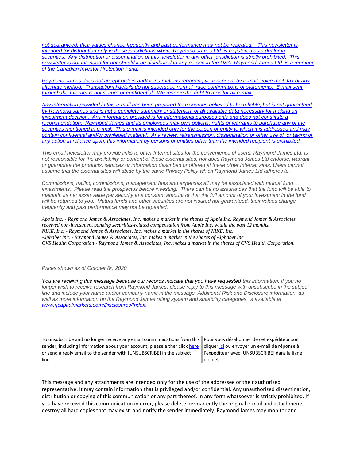*[not guaranteed, their values change frequently and past performance may not be repeated.](https://eur04.safelinks.protection.outlook.com/?url=https%3A%2F%2Furldefense.proofpoint.com%2Fv2%2Furl%3Fu%3Dhttps-3A__nam11.safelinks.protection.outlook.com_-3Furl-3Dhttps-253A-252F-252Fowa-2Dkel.raymondjames.ca-252Fowa-252Fredir.aspx-253FSURL-253Dz0BxOCXDlQ-2DAad1f-5Fa9igaARxm5Rd1VXE7UcmD4mZ3IZiacj7DPTCG0AYQBpAGwAdABvADoAcABhAHUAbAAuAHMAaQBsAHUAYwBoAEAAcgBhAHkAbQBvAG4AZABqAGEAbQBlAHMALgBjAGEA-2526URL-253Dmailto-25253apaul.siluch-252540raymondjames.ca-26data-3D02-257C01-257C-257Cc172461ecbee4482512908d85e8192cf-257C84df9e7fe9f640afb435aaaaaaaaaaaa-257C1-257C0-257C637363258183635674-26sdata-3DYxnEd1j-252BPKZ7O-252BaYYWd4rEqnA-252FsZJqXh5i43hxevA-252Bk-253D-26reserved-3D0%26d%3DDwMF-g%26c%3DK3dQCUGiI1B95NJ6cl3GoyhMW2dvBOfimZA-83UXll0%26r%3D_6MBBSGYsFznIBwslhTiqBKEz4pHUCTd_9tbh_EpUMY%26m%3D7qOaEnVxLdGuCP74qXGTNk9xkBSFm8R3CYYmRfTv9PQ%26s%3DnStAVPWry0CYI3VlF6rPrM0m6uEmVBMWcLnjvw4FcOQ%26e%3D&data=02%7C01%7C%7C8a16eb9ab3cc4e585bab08d86b14e24b%7C84df9e7fe9f640afb435aaaaaaaaaaaa%7C1%7C0%7C637377085227564389&sdata=%2FLT3okCUEtYywPn6lfOt69zF22qRd1eEUeVCI%2FhVHyE%3D&reserved=0) This newsletter is [intended for distribution only in those jurisdictions where Raymond James Ltd. is registered as a dealer in](https://eur04.safelinks.protection.outlook.com/?url=https%3A%2F%2Furldefense.proofpoint.com%2Fv2%2Furl%3Fu%3Dhttps-3A__nam11.safelinks.protection.outlook.com_-3Furl-3Dhttps-253A-252F-252Fowa-2Dkel.raymondjames.ca-252Fowa-252Fredir.aspx-253FSURL-253Dz0BxOCXDlQ-2DAad1f-5Fa9igaARxm5Rd1VXE7UcmD4mZ3IZiacj7DPTCG0AYQBpAGwAdABvADoAcABhAHUAbAAuAHMAaQBsAHUAYwBoAEAAcgBhAHkAbQBvAG4AZABqAGEAbQBlAHMALgBjAGEA-2526URL-253Dmailto-25253apaul.siluch-252540raymondjames.ca-26data-3D02-257C01-257C-257Cc172461ecbee4482512908d85e8192cf-257C84df9e7fe9f640afb435aaaaaaaaaaaa-257C1-257C0-257C637363258183635674-26sdata-3DYxnEd1j-252BPKZ7O-252BaYYWd4rEqnA-252FsZJqXh5i43hxevA-252Bk-253D-26reserved-3D0%26d%3DDwMF-g%26c%3DK3dQCUGiI1B95NJ6cl3GoyhMW2dvBOfimZA-83UXll0%26r%3D_6MBBSGYsFznIBwslhTiqBKEz4pHUCTd_9tbh_EpUMY%26m%3D7qOaEnVxLdGuCP74qXGTNk9xkBSFm8R3CYYmRfTv9PQ%26s%3DnStAVPWry0CYI3VlF6rPrM0m6uEmVBMWcLnjvw4FcOQ%26e%3D&data=02%7C01%7C%7C8a16eb9ab3cc4e585bab08d86b14e24b%7C84df9e7fe9f640afb435aaaaaaaaaaaa%7C1%7C0%7C637377085227564389&sdata=%2FLT3okCUEtYywPn6lfOt69zF22qRd1eEUeVCI%2FhVHyE%3D&reserved=0)  securities. [Any distribution or dissemination of this newsletter in any other jurisdiction is strictly prohibited.](https://eur04.safelinks.protection.outlook.com/?url=https%3A%2F%2Furldefense.proofpoint.com%2Fv2%2Furl%3Fu%3Dhttps-3A__nam11.safelinks.protection.outlook.com_-3Furl-3Dhttps-253A-252F-252Fowa-2Dkel.raymondjames.ca-252Fowa-252Fredir.aspx-253FSURL-253Dz0BxOCXDlQ-2DAad1f-5Fa9igaARxm5Rd1VXE7UcmD4mZ3IZiacj7DPTCG0AYQBpAGwAdABvADoAcABhAHUAbAAuAHMAaQBsAHUAYwBoAEAAcgBhAHkAbQBvAG4AZABqAGEAbQBlAHMALgBjAGEA-2526URL-253Dmailto-25253apaul.siluch-252540raymondjames.ca-26data-3D02-257C01-257C-257Cc172461ecbee4482512908d85e8192cf-257C84df9e7fe9f640afb435aaaaaaaaaaaa-257C1-257C0-257C637363258183635674-26sdata-3DYxnEd1j-252BPKZ7O-252BaYYWd4rEqnA-252FsZJqXh5i43hxevA-252Bk-253D-26reserved-3D0%26d%3DDwMF-g%26c%3DK3dQCUGiI1B95NJ6cl3GoyhMW2dvBOfimZA-83UXll0%26r%3D_6MBBSGYsFznIBwslhTiqBKEz4pHUCTd_9tbh_EpUMY%26m%3D7qOaEnVxLdGuCP74qXGTNk9xkBSFm8R3CYYmRfTv9PQ%26s%3DnStAVPWry0CYI3VlF6rPrM0m6uEmVBMWcLnjvw4FcOQ%26e%3D&data=02%7C01%7C%7C8a16eb9ab3cc4e585bab08d86b14e24b%7C84df9e7fe9f640afb435aaaaaaaaaaaa%7C1%7C0%7C637377085227564389&sdata=%2FLT3okCUEtYywPn6lfOt69zF22qRd1eEUeVCI%2FhVHyE%3D&reserved=0) This [newsletter is not intended for nor should it be distributed to any person in the USA. Raymond James Ltd. is a member](https://eur04.safelinks.protection.outlook.com/?url=https%3A%2F%2Furldefense.proofpoint.com%2Fv2%2Furl%3Fu%3Dhttps-3A__nam11.safelinks.protection.outlook.com_-3Furl-3Dhttps-253A-252F-252Fowa-2Dkel.raymondjames.ca-252Fowa-252Fredir.aspx-253FSURL-253Dz0BxOCXDlQ-2DAad1f-5Fa9igaARxm5Rd1VXE7UcmD4mZ3IZiacj7DPTCG0AYQBpAGwAdABvADoAcABhAHUAbAAuAHMAaQBsAHUAYwBoAEAAcgBhAHkAbQBvAG4AZABqAGEAbQBlAHMALgBjAGEA-2526URL-253Dmailto-25253apaul.siluch-252540raymondjames.ca-26data-3D02-257C01-257C-257Cc172461ecbee4482512908d85e8192cf-257C84df9e7fe9f640afb435aaaaaaaaaaaa-257C1-257C0-257C637363258183635674-26sdata-3DYxnEd1j-252BPKZ7O-252BaYYWd4rEqnA-252FsZJqXh5i43hxevA-252Bk-253D-26reserved-3D0%26d%3DDwMF-g%26c%3DK3dQCUGiI1B95NJ6cl3GoyhMW2dvBOfimZA-83UXll0%26r%3D_6MBBSGYsFznIBwslhTiqBKEz4pHUCTd_9tbh_EpUMY%26m%3D7qOaEnVxLdGuCP74qXGTNk9xkBSFm8R3CYYmRfTv9PQ%26s%3DnStAVPWry0CYI3VlF6rPrM0m6uEmVBMWcLnjvw4FcOQ%26e%3D&data=02%7C01%7C%7C8a16eb9ab3cc4e585bab08d86b14e24b%7C84df9e7fe9f640afb435aaaaaaaaaaaa%7C1%7C0%7C637377085227564389&sdata=%2FLT3okCUEtYywPn6lfOt69zF22qRd1eEUeVCI%2FhVHyE%3D&reserved=0)  [of the Canadian Investor Protection Fund.](https://eur04.safelinks.protection.outlook.com/?url=https%3A%2F%2Furldefense.proofpoint.com%2Fv2%2Furl%3Fu%3Dhttps-3A__nam11.safelinks.protection.outlook.com_-3Furl-3Dhttps-253A-252F-252Fowa-2Dkel.raymondjames.ca-252Fowa-252Fredir.aspx-253FSURL-253Dz0BxOCXDlQ-2DAad1f-5Fa9igaARxm5Rd1VXE7UcmD4mZ3IZiacj7DPTCG0AYQBpAGwAdABvADoAcABhAHUAbAAuAHMAaQBsAHUAYwBoAEAAcgBhAHkAbQBvAG4AZABqAGEAbQBlAHMALgBjAGEA-2526URL-253Dmailto-25253apaul.siluch-252540raymondjames.ca-26data-3D02-257C01-257C-257Cc172461ecbee4482512908d85e8192cf-257C84df9e7fe9f640afb435aaaaaaaaaaaa-257C1-257C0-257C637363258183635674-26sdata-3DYxnEd1j-252BPKZ7O-252BaYYWd4rEqnA-252FsZJqXh5i43hxevA-252Bk-253D-26reserved-3D0%26d%3DDwMF-g%26c%3DK3dQCUGiI1B95NJ6cl3GoyhMW2dvBOfimZA-83UXll0%26r%3D_6MBBSGYsFznIBwslhTiqBKEz4pHUCTd_9tbh_EpUMY%26m%3D7qOaEnVxLdGuCP74qXGTNk9xkBSFm8R3CYYmRfTv9PQ%26s%3DnStAVPWry0CYI3VlF6rPrM0m6uEmVBMWcLnjvw4FcOQ%26e%3D&data=02%7C01%7C%7C8a16eb9ab3cc4e585bab08d86b14e24b%7C84df9e7fe9f640afb435aaaaaaaaaaaa%7C1%7C0%7C637377085227564389&sdata=%2FLT3okCUEtYywPn6lfOt69zF22qRd1eEUeVCI%2FhVHyE%3D&reserved=0)* 

*Raymond James [does not accept orders and/or instructions regarding your account by e-mail, voice mail, fax or any](https://eur04.safelinks.protection.outlook.com/?url=https%3A%2F%2Furldefense.proofpoint.com%2Fv2%2Furl%3Fu%3Dhttps-3A__nam11.safelinks.protection.outlook.com_-3Furl-3Dhttps-253A-252F-252Fowa-2Dkel.raymondjames.ca-252Fowa-252Fredir.aspx-253FSURL-253Dz0BxOCXDlQ-2DAad1f-5Fa9igaARxm5Rd1VXE7UcmD4mZ3IZiacj7DPTCG0AYQBpAGwAdABvADoAcABhAHUAbAAuAHMAaQBsAHUAYwBoAEAAcgBhAHkAbQBvAG4AZABqAGEAbQBlAHMALgBjAGEA-2526URL-253Dmailto-25253apaul.siluch-252540raymondjames.ca-26data-3D02-257C01-257C-257Cc172461ecbee4482512908d85e8192cf-257C84df9e7fe9f640afb435aaaaaaaaaaaa-257C1-257C0-257C637363258183645669-26sdata-3DjKvjWtH2krR43u3J3z5Cv9nHD0QMiBAUf4SY0jMfuYE-253D-26reserved-3D0%26d%3DDwMF-g%26c%3DK3dQCUGiI1B95NJ6cl3GoyhMW2dvBOfimZA-83UXll0%26r%3D_6MBBSGYsFznIBwslhTiqBKEz4pHUCTd_9tbh_EpUMY%26m%3D7qOaEnVxLdGuCP74qXGTNk9xkBSFm8R3CYYmRfTv9PQ%26s%3Dm8uHgNiRKEtIPVRoT8MsE-O97e6Q7JVm8rnhQdyv494%26e%3D&data=02%7C01%7C%7C8a16eb9ab3cc4e585bab08d86b14e24b%7C84df9e7fe9f640afb435aaaaaaaaaaaa%7C1%7C0%7C637377085227574385&sdata=Ho7sOwUmuuXXUdRweJZXqUUcFhlxC%2FMAZbbIsskkx1g%3D&reserved=0)  alternate method. [Transactional details do not supersede normal trade confirmations or statements.](https://eur04.safelinks.protection.outlook.com/?url=https%3A%2F%2Furldefense.proofpoint.com%2Fv2%2Furl%3Fu%3Dhttps-3A__nam11.safelinks.protection.outlook.com_-3Furl-3Dhttps-253A-252F-252Fowa-2Dkel.raymondjames.ca-252Fowa-252Fredir.aspx-253FSURL-253Dz0BxOCXDlQ-2DAad1f-5Fa9igaARxm5Rd1VXE7UcmD4mZ3IZiacj7DPTCG0AYQBpAGwAdABvADoAcABhAHUAbAAuAHMAaQBsAHUAYwBoAEAAcgBhAHkAbQBvAG4AZABqAGEAbQBlAHMALgBjAGEA-2526URL-253Dmailto-25253apaul.siluch-252540raymondjames.ca-26data-3D02-257C01-257C-257Cc172461ecbee4482512908d85e8192cf-257C84df9e7fe9f640afb435aaaaaaaaaaaa-257C1-257C0-257C637363258183645669-26sdata-3DjKvjWtH2krR43u3J3z5Cv9nHD0QMiBAUf4SY0jMfuYE-253D-26reserved-3D0%26d%3DDwMF-g%26c%3DK3dQCUGiI1B95NJ6cl3GoyhMW2dvBOfimZA-83UXll0%26r%3D_6MBBSGYsFznIBwslhTiqBKEz4pHUCTd_9tbh_EpUMY%26m%3D7qOaEnVxLdGuCP74qXGTNk9xkBSFm8R3CYYmRfTv9PQ%26s%3Dm8uHgNiRKEtIPVRoT8MsE-O97e6Q7JVm8rnhQdyv494%26e%3D&data=02%7C01%7C%7C8a16eb9ab3cc4e585bab08d86b14e24b%7C84df9e7fe9f640afb435aaaaaaaaaaaa%7C1%7C0%7C637377085227574385&sdata=Ho7sOwUmuuXXUdRweJZXqUUcFhlxC%2FMAZbbIsskkx1g%3D&reserved=0) E-mail sent [through the Internet is not secure or confidential.](https://eur04.safelinks.protection.outlook.com/?url=https%3A%2F%2Furldefense.proofpoint.com%2Fv2%2Furl%3Fu%3Dhttps-3A__nam11.safelinks.protection.outlook.com_-3Furl-3Dhttps-253A-252F-252Fowa-2Dkel.raymondjames.ca-252Fowa-252Fredir.aspx-253FSURL-253Dz0BxOCXDlQ-2DAad1f-5Fa9igaARxm5Rd1VXE7UcmD4mZ3IZiacj7DPTCG0AYQBpAGwAdABvADoAcABhAHUAbAAuAHMAaQBsAHUAYwBoAEAAcgBhAHkAbQBvAG4AZABqAGEAbQBlAHMALgBjAGEA-2526URL-253Dmailto-25253apaul.siluch-252540raymondjames.ca-26data-3D02-257C01-257C-257Cc172461ecbee4482512908d85e8192cf-257C84df9e7fe9f640afb435aaaaaaaaaaaa-257C1-257C0-257C637363258183645669-26sdata-3DjKvjWtH2krR43u3J3z5Cv9nHD0QMiBAUf4SY0jMfuYE-253D-26reserved-3D0%26d%3DDwMF-g%26c%3DK3dQCUGiI1B95NJ6cl3GoyhMW2dvBOfimZA-83UXll0%26r%3D_6MBBSGYsFznIBwslhTiqBKEz4pHUCTd_9tbh_EpUMY%26m%3D7qOaEnVxLdGuCP74qXGTNk9xkBSFm8R3CYYmRfTv9PQ%26s%3Dm8uHgNiRKEtIPVRoT8MsE-O97e6Q7JVm8rnhQdyv494%26e%3D&data=02%7C01%7C%7C8a16eb9ab3cc4e585bab08d86b14e24b%7C84df9e7fe9f640afb435aaaaaaaaaaaa%7C1%7C0%7C637377085227574385&sdata=Ho7sOwUmuuXXUdRweJZXqUUcFhlxC%2FMAZbbIsskkx1g%3D&reserved=0) We reserve the right to monitor all e-mail.*

*[Any information provided in this e-mail has been prepared from sources believed to be reliable, but is not guaranteed](https://eur04.safelinks.protection.outlook.com/?url=https%3A%2F%2Furldefense.proofpoint.com%2Fv2%2Furl%3Fu%3Dhttps-3A__nam11.safelinks.protection.outlook.com_-3Furl-3Dhttps-253A-252F-252Fowa-2Dkel.raymondjames.ca-252Fowa-252Fredir.aspx-253FSURL-253Dz0BxOCXDlQ-2DAad1f-5Fa9igaARxm5Rd1VXE7UcmD4mZ3IZiacj7DPTCG0AYQBpAGwAdABvADoAcABhAHUAbAAuAHMAaQBsAHUAYwBoAEAAcgBhAHkAbQBvAG4AZABqAGEAbQBlAHMALgBjAGEA-2526URL-253Dmailto-25253apaul.siluch-252540raymondjames.ca-26data-3D02-257C01-257C-257Cc172461ecbee4482512908d85e8192cf-257C84df9e7fe9f640afb435aaaaaaaaaaaa-257C1-257C0-257C637363258183645669-26sdata-3DjKvjWtH2krR43u3J3z5Cv9nHD0QMiBAUf4SY0jMfuYE-253D-26reserved-3D0%26d%3DDwMF-g%26c%3DK3dQCUGiI1B95NJ6cl3GoyhMW2dvBOfimZA-83UXll0%26r%3D_6MBBSGYsFznIBwslhTiqBKEz4pHUCTd_9tbh_EpUMY%26m%3D7qOaEnVxLdGuCP74qXGTNk9xkBSFm8R3CYYmRfTv9PQ%26s%3Dm8uHgNiRKEtIPVRoT8MsE-O97e6Q7JVm8rnhQdyv494%26e%3D&data=02%7C01%7C%7C8a16eb9ab3cc4e585bab08d86b14e24b%7C84df9e7fe9f640afb435aaaaaaaaaaaa%7C1%7C0%7C637377085227584381&sdata=zi7yMW%2BurXrnBH6EQwZL8ErwbT7N5rpqRg9vUu%2BWY0o%3D&reserved=0)  by Raymond James [and is not a complete summary or statement of all available data necessary for making an](https://eur04.safelinks.protection.outlook.com/?url=https%3A%2F%2Furldefense.proofpoint.com%2Fv2%2Furl%3Fu%3Dhttps-3A__nam11.safelinks.protection.outlook.com_-3Furl-3Dhttps-253A-252F-252Fowa-2Dkel.raymondjames.ca-252Fowa-252Fredir.aspx-253FSURL-253Dz0BxOCXDlQ-2DAad1f-5Fa9igaARxm5Rd1VXE7UcmD4mZ3IZiacj7DPTCG0AYQBpAGwAdABvADoAcABhAHUAbAAuAHMAaQBsAHUAYwBoAEAAcgBhAHkAbQBvAG4AZABqAGEAbQBlAHMALgBjAGEA-2526URL-253Dmailto-25253apaul.siluch-252540raymondjames.ca-26data-3D02-257C01-257C-257Cc172461ecbee4482512908d85e8192cf-257C84df9e7fe9f640afb435aaaaaaaaaaaa-257C1-257C0-257C637363258183645669-26sdata-3DjKvjWtH2krR43u3J3z5Cv9nHD0QMiBAUf4SY0jMfuYE-253D-26reserved-3D0%26d%3DDwMF-g%26c%3DK3dQCUGiI1B95NJ6cl3GoyhMW2dvBOfimZA-83UXll0%26r%3D_6MBBSGYsFznIBwslhTiqBKEz4pHUCTd_9tbh_EpUMY%26m%3D7qOaEnVxLdGuCP74qXGTNk9xkBSFm8R3CYYmRfTv9PQ%26s%3Dm8uHgNiRKEtIPVRoT8MsE-O97e6Q7JVm8rnhQdyv494%26e%3D&data=02%7C01%7C%7C8a16eb9ab3cc4e585bab08d86b14e24b%7C84df9e7fe9f640afb435aaaaaaaaaaaa%7C1%7C0%7C637377085227584381&sdata=zi7yMW%2BurXrnBH6EQwZL8ErwbT7N5rpqRg9vUu%2BWY0o%3D&reserved=0)  investment decision. [Any information provided is for informational purposes only and does not constitute a](https://eur04.safelinks.protection.outlook.com/?url=https%3A%2F%2Furldefense.proofpoint.com%2Fv2%2Furl%3Fu%3Dhttps-3A__nam11.safelinks.protection.outlook.com_-3Furl-3Dhttps-253A-252F-252Fowa-2Dkel.raymondjames.ca-252Fowa-252Fredir.aspx-253FSURL-253Dz0BxOCXDlQ-2DAad1f-5Fa9igaARxm5Rd1VXE7UcmD4mZ3IZiacj7DPTCG0AYQBpAGwAdABvADoAcABhAHUAbAAuAHMAaQBsAHUAYwBoAEAAcgBhAHkAbQBvAG4AZABqAGEAbQBlAHMALgBjAGEA-2526URL-253Dmailto-25253apaul.siluch-252540raymondjames.ca-26data-3D02-257C01-257C-257Cc172461ecbee4482512908d85e8192cf-257C84df9e7fe9f640afb435aaaaaaaaaaaa-257C1-257C0-257C637363258183645669-26sdata-3DjKvjWtH2krR43u3J3z5Cv9nHD0QMiBAUf4SY0jMfuYE-253D-26reserved-3D0%26d%3DDwMF-g%26c%3DK3dQCUGiI1B95NJ6cl3GoyhMW2dvBOfimZA-83UXll0%26r%3D_6MBBSGYsFznIBwslhTiqBKEz4pHUCTd_9tbh_EpUMY%26m%3D7qOaEnVxLdGuCP74qXGTNk9xkBSFm8R3CYYmRfTv9PQ%26s%3Dm8uHgNiRKEtIPVRoT8MsE-O97e6Q7JVm8rnhQdyv494%26e%3D&data=02%7C01%7C%7C8a16eb9ab3cc4e585bab08d86b14e24b%7C84df9e7fe9f640afb435aaaaaaaaaaaa%7C1%7C0%7C637377085227584381&sdata=zi7yMW%2BurXrnBH6EQwZL8ErwbT7N5rpqRg9vUu%2BWY0o%3D&reserved=0)  recommendation. Raymond James [and its employees may own options, rights or warrants to purchase any of the](https://eur04.safelinks.protection.outlook.com/?url=https%3A%2F%2Furldefense.proofpoint.com%2Fv2%2Furl%3Fu%3Dhttps-3A__nam11.safelinks.protection.outlook.com_-3Furl-3Dhttps-253A-252F-252Fowa-2Dkel.raymondjames.ca-252Fowa-252Fredir.aspx-253FSURL-253Dz0BxOCXDlQ-2DAad1f-5Fa9igaARxm5Rd1VXE7UcmD4mZ3IZiacj7DPTCG0AYQBpAGwAdABvADoAcABhAHUAbAAuAHMAaQBsAHUAYwBoAEAAcgBhAHkAbQBvAG4AZABqAGEAbQBlAHMALgBjAGEA-2526URL-253Dmailto-25253apaul.siluch-252540raymondjames.ca-26data-3D02-257C01-257C-257Cc172461ecbee4482512908d85e8192cf-257C84df9e7fe9f640afb435aaaaaaaaaaaa-257C1-257C0-257C637363258183645669-26sdata-3DjKvjWtH2krR43u3J3z5Cv9nHD0QMiBAUf4SY0jMfuYE-253D-26reserved-3D0%26d%3DDwMF-g%26c%3DK3dQCUGiI1B95NJ6cl3GoyhMW2dvBOfimZA-83UXll0%26r%3D_6MBBSGYsFznIBwslhTiqBKEz4pHUCTd_9tbh_EpUMY%26m%3D7qOaEnVxLdGuCP74qXGTNk9xkBSFm8R3CYYmRfTv9PQ%26s%3Dm8uHgNiRKEtIPVRoT8MsE-O97e6Q7JVm8rnhQdyv494%26e%3D&data=02%7C01%7C%7C8a16eb9ab3cc4e585bab08d86b14e24b%7C84df9e7fe9f640afb435aaaaaaaaaaaa%7C1%7C0%7C637377085227584381&sdata=zi7yMW%2BurXrnBH6EQwZL8ErwbT7N5rpqRg9vUu%2BWY0o%3D&reserved=0)  securities mentioned in e-mail. [This e-mail is intended only for the person or entity to which it is addressed and may](https://eur04.safelinks.protection.outlook.com/?url=https%3A%2F%2Furldefense.proofpoint.com%2Fv2%2Furl%3Fu%3Dhttps-3A__nam11.safelinks.protection.outlook.com_-3Furl-3Dhttps-253A-252F-252Fowa-2Dkel.raymondjames.ca-252Fowa-252Fredir.aspx-253FSURL-253Dz0BxOCXDlQ-2DAad1f-5Fa9igaARxm5Rd1VXE7UcmD4mZ3IZiacj7DPTCG0AYQBpAGwAdABvADoAcABhAHUAbAAuAHMAaQBsAHUAYwBoAEAAcgBhAHkAbQBvAG4AZABqAGEAbQBlAHMALgBjAGEA-2526URL-253Dmailto-25253apaul.siluch-252540raymondjames.ca-26data-3D02-257C01-257C-257Cc172461ecbee4482512908d85e8192cf-257C84df9e7fe9f640afb435aaaaaaaaaaaa-257C1-257C0-257C637363258183645669-26sdata-3DjKvjWtH2krR43u3J3z5Cv9nHD0QMiBAUf4SY0jMfuYE-253D-26reserved-3D0%26d%3DDwMF-g%26c%3DK3dQCUGiI1B95NJ6cl3GoyhMW2dvBOfimZA-83UXll0%26r%3D_6MBBSGYsFznIBwslhTiqBKEz4pHUCTd_9tbh_EpUMY%26m%3D7qOaEnVxLdGuCP74qXGTNk9xkBSFm8R3CYYmRfTv9PQ%26s%3Dm8uHgNiRKEtIPVRoT8MsE-O97e6Q7JVm8rnhQdyv494%26e%3D&data=02%7C01%7C%7C8a16eb9ab3cc4e585bab08d86b14e24b%7C84df9e7fe9f640afb435aaaaaaaaaaaa%7C1%7C0%7C637377085227584381&sdata=zi7yMW%2BurXrnBH6EQwZL8ErwbT7N5rpqRg9vUu%2BWY0o%3D&reserved=0)  contain confidential and/or privileged material. [Any review, retransmission, dissemination or other use of, or taking of](https://eur04.safelinks.protection.outlook.com/?url=https%3A%2F%2Furldefense.proofpoint.com%2Fv2%2Furl%3Fu%3Dhttps-3A__nam11.safelinks.protection.outlook.com_-3Furl-3Dhttps-253A-252F-252Fowa-2Dkel.raymondjames.ca-252Fowa-252Fredir.aspx-253FSURL-253Dz0BxOCXDlQ-2DAad1f-5Fa9igaARxm5Rd1VXE7UcmD4mZ3IZiacj7DPTCG0AYQBpAGwAdABvADoAcABhAHUAbAAuAHMAaQBsAHUAYwBoAEAAcgBhAHkAbQBvAG4AZABqAGEAbQBlAHMALgBjAGEA-2526URL-253Dmailto-25253apaul.siluch-252540raymondjames.ca-26data-3D02-257C01-257C-257Cc172461ecbee4482512908d85e8192cf-257C84df9e7fe9f640afb435aaaaaaaaaaaa-257C1-257C0-257C637363258183645669-26sdata-3DjKvjWtH2krR43u3J3z5Cv9nHD0QMiBAUf4SY0jMfuYE-253D-26reserved-3D0%26d%3DDwMF-g%26c%3DK3dQCUGiI1B95NJ6cl3GoyhMW2dvBOfimZA-83UXll0%26r%3D_6MBBSGYsFznIBwslhTiqBKEz4pHUCTd_9tbh_EpUMY%26m%3D7qOaEnVxLdGuCP74qXGTNk9xkBSFm8R3CYYmRfTv9PQ%26s%3Dm8uHgNiRKEtIPVRoT8MsE-O97e6Q7JVm8rnhQdyv494%26e%3D&data=02%7C01%7C%7C8a16eb9ab3cc4e585bab08d86b14e24b%7C84df9e7fe9f640afb435aaaaaaaaaaaa%7C1%7C0%7C637377085227584381&sdata=zi7yMW%2BurXrnBH6EQwZL8ErwbT7N5rpqRg9vUu%2BWY0o%3D&reserved=0)  [any action in reliance upon, this information by persons or entities other than the intended recipient is prohibited.](https://eur04.safelinks.protection.outlook.com/?url=https%3A%2F%2Furldefense.proofpoint.com%2Fv2%2Furl%3Fu%3Dhttps-3A__nam11.safelinks.protection.outlook.com_-3Furl-3Dhttps-253A-252F-252Fowa-2Dkel.raymondjames.ca-252Fowa-252Fredir.aspx-253FSURL-253Dz0BxOCXDlQ-2DAad1f-5Fa9igaARxm5Rd1VXE7UcmD4mZ3IZiacj7DPTCG0AYQBpAGwAdABvADoAcABhAHUAbAAuAHMAaQBsAHUAYwBoAEAAcgBhAHkAbQBvAG4AZABqAGEAbQBlAHMALgBjAGEA-2526URL-253Dmailto-25253apaul.siluch-252540raymondjames.ca-26data-3D02-257C01-257C-257Cc172461ecbee4482512908d85e8192cf-257C84df9e7fe9f640afb435aaaaaaaaaaaa-257C1-257C0-257C637363258183645669-26sdata-3DjKvjWtH2krR43u3J3z5Cv9nHD0QMiBAUf4SY0jMfuYE-253D-26reserved-3D0%26d%3DDwMF-g%26c%3DK3dQCUGiI1B95NJ6cl3GoyhMW2dvBOfimZA-83UXll0%26r%3D_6MBBSGYsFznIBwslhTiqBKEz4pHUCTd_9tbh_EpUMY%26m%3D7qOaEnVxLdGuCP74qXGTNk9xkBSFm8R3CYYmRfTv9PQ%26s%3Dm8uHgNiRKEtIPVRoT8MsE-O97e6Q7JVm8rnhQdyv494%26e%3D&data=02%7C01%7C%7C8a16eb9ab3cc4e585bab08d86b14e24b%7C84df9e7fe9f640afb435aaaaaaaaaaaa%7C1%7C0%7C637377085227584381&sdata=zi7yMW%2BurXrnBH6EQwZL8ErwbT7N5rpqRg9vUu%2BWY0o%3D&reserved=0)*

*This email newsletter may provide links to other Internet sites for the convenience of users. Raymond James Ltd. is not responsible for the availability or content of these external sites, nor does Raymond James Ltd endorse, warrant or guarantee the products, services or information described or offered at these other Internet sites. Users cannot assume that the external sites will abide by the same Privacy Policy which Raymond James Ltd adheres to.*

*Commissions, trailing commissions, management fees and expenses all may be associated with mutual fund investments. Please read the prospectus before investing. There can be no assurances that the fund will be able to maintain its net asset value per security at a constant amount or that the full amount of your investment in the fund will be returned to you. Mutual funds and other securities are not insured nor guaranteed, their values change frequently and past performance may not be repeated.*

*Apple Inc. - Raymond James & Associates, Inc. makes a market in the shares of Apple Inc. Raymond James & Associates received non-investment banking securities-related compensation from Apple Inc. within the past 12 months. NIKE, Inc. - Raymond James & Associates, Inc. makes a market in the shares of NIKE, Inc. Alphabet Inc. - Raymond James & Associates, Inc. makes a market in the shares of Alphabet Inc. CVS Health Corporation - Raymond James & Associates, Inc. makes a market in the shares of CVS Health Corporation.*

*Prices shown as of October 8th, 2020*

*You are receiving this message because our records indicate that you have requested this information. If you no longer wish to receive research from Raymond James, please reply to this message with unsubscribe in the subject line and include your name and/or company name in the message. Additional Risk and Disclosure information, as*  well as more information on the Raymond James rating system and suitability categories, is available at *[www.rjcapitalmarkets.com/Disclosures/Index.](https://eur04.safelinks.protection.outlook.com/?url=https%3A%2F%2Furldefense.proofpoint.com%2Fv2%2Furl%3Fu%3Dhttps-3A__nam11.safelinks.protection.outlook.com_-3Furl-3Dhttps-253A-252F-252Fowa-2Dkel.raymondjames.ca-252Fowa-252Fredir.aspx-253FSURL-253DxhOB4gpVfLOskwdkUL9L2f18Fq4IG2rgvMfuIIX7BlwZiacj7DPTCGgAdAB0AHAAOgAvAC8AdwB3AHcALgByAGoAYwBhAHAAaQB0AGEAbABtAGEAcgBrAGUAdABzAC4AYwBvAG0ALwBEAGkAcwBjAGwAbwBzAHUAcgBlAHMALwBJAG4AZABlAHgA-2526URL-253Dhttp-25253a-25252f-25252fwww.rjcapitalmarkets.com-25252fDisclosures-25252fIndex-26data-3D02-257C01-257C-257Cc172461ecbee4482512908d85e8192cf-257C84df9e7fe9f640afb435aaaaaaaaaaaa-257C1-257C0-257C637363258183655664-26sdata-3DoIGN-252B1v-252BJNQ-252BZPo1ywEHtDOfbELe3OmLG-252FFg-252FM3Utoc-253D-26reserved-3D0%26d%3DDwMF-g%26c%3DK3dQCUGiI1B95NJ6cl3GoyhMW2dvBOfimZA-83UXll0%26r%3D_6MBBSGYsFznIBwslhTiqBKEz4pHUCTd_9tbh_EpUMY%26m%3D7qOaEnVxLdGuCP74qXGTNk9xkBSFm8R3CYYmRfTv9PQ%26s%3DDBdK_pzBuQHicYmhkDa-8JlRVcVl-oi24aL_wseaH40%26e%3D&data=02%7C01%7C%7C8a16eb9ab3cc4e585bab08d86b14e24b%7C84df9e7fe9f640afb435aaaaaaaaaaaa%7C1%7C0%7C637377085227594375&sdata=vgGto1%2FhV2xjMnN%2FKDjJX5uFHJYLmdfONSg1ff%2FTQzY%3D&reserved=0)*

\_\_\_\_\_\_\_\_\_\_\_\_\_\_\_\_\_\_\_\_\_\_\_\_\_\_\_\_\_\_\_\_\_\_\_\_\_\_\_\_\_\_\_\_\_\_\_\_\_\_\_\_\_\_\_\_\_\_\_\_\_\_\_\_\_\_\_\_\_\_\_\_\_\_\_\_\_\_\_\_\_\_\_\_

\_\_\_\_\_\_\_\_\_\_\_\_\_\_\_\_\_\_\_\_\_\_\_\_\_\_\_\_\_\_\_\_\_\_\_\_\_\_\_\_\_\_\_\_\_\_\_\_\_\_\_\_\_\_\_\_\_\_\_\_\_\_\_\_\_\_\_\_\_\_\_\_\_\_\_\_\_\_\_\_\_\_\_\_

To unsubscribe and no longer receive any email communications from this Pour vous désabonner de cet expéditeur soit sender, including information about your account, please either clic[k here](mailto:paul.siluch@raymondjames.ca?subject=[UNSUBSCRIBE]&body=I%20wish%20to%20unsubscribe%20from%20all%20commercial%20electronic%20messages%20from%20this%20sender.%20%20There%20may%20be%20other%20employees%20or%20agents%20within%20Raymond%20James%20which%20communicate%20with%20me%20electronically%20and%20I%20understand%20that%20I%20may%20unsubscribe%20from%20these%20senders%20separately.) or send a reply email to the sender with [UNSUBSCRIBE] in the subject line.

clique[r ici](mailto:paul.siluch@raymondjames.ca?subject=[UNSUBSCRIBE]&body=Je%20souhaite%20me%20désinscrire%20de%20tous%20les%20messages%20électroniques%20commerciaux.%20Il%20peut%20y%20avoir%20d) ou envoyer un e-mail de réponse à l'expéditeur avec [UNSUBSCRIBE] dans la ligne d'objet.

This message and any attachments are intended only for the use of the addressee or their authorized representative. It may contain information that is privileged and/or confidential. Any unauthorized dissemination, distribution or copying of this communication or any part thereof, in any form whatsoever is strictly prohibited. If you have received this communication in error, please delete permanently the original e-mail and attachments, destroy all hard copies that may exist, and notify the sender immediately. Raymond James may monitor and